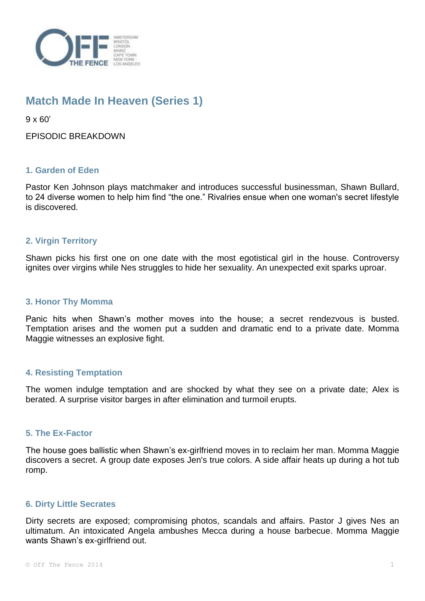

# **Match Made In Heaven (Series 1)**

 $9 \times 60'$ 

EPISODIC BREAKDOWN

# **1. Garden of Eden**

Pastor Ken Johnson plays matchmaker and introduces successful businessman, Shawn Bullard, to 24 diverse women to help him find "the one." Rivalries ensue when one woman's secret lifestyle is discovered.

# **2. Virgin Territory**

Shawn picks his first one on one date with the most egotistical girl in the house. Controversy ignites over virgins while Nes struggles to hide her sexuality. An unexpected exit sparks uproar.

#### **3. Honor Thy Momma**

Panic hits when Shawn's mother moves into the house; a secret rendezvous is busted. Temptation arises and the women put a sudden and dramatic end to a private date. Momma Maggie witnesses an explosive fight.

## **4. Resisting Temptation**

The women indulge temptation and are shocked by what they see on a private date; Alex is berated. A surprise visitor barges in after elimination and turmoil erupts.

## **5. The Ex-Factor**

The house goes ballistic when Shawn's ex-girlfriend moves in to reclaim her man. Momma Maggie discovers a secret. A group date exposes Jen's true colors. A side affair heats up during a hot tub romp.

## **6. Dirty Little Secrates**

Dirty secrets are exposed; compromising photos, scandals and affairs. Pastor J gives Nes an ultimatum. An intoxicated Angela ambushes Mecca during a house barbecue. Momma Maggie wants Shawn's ex-girlfriend out.